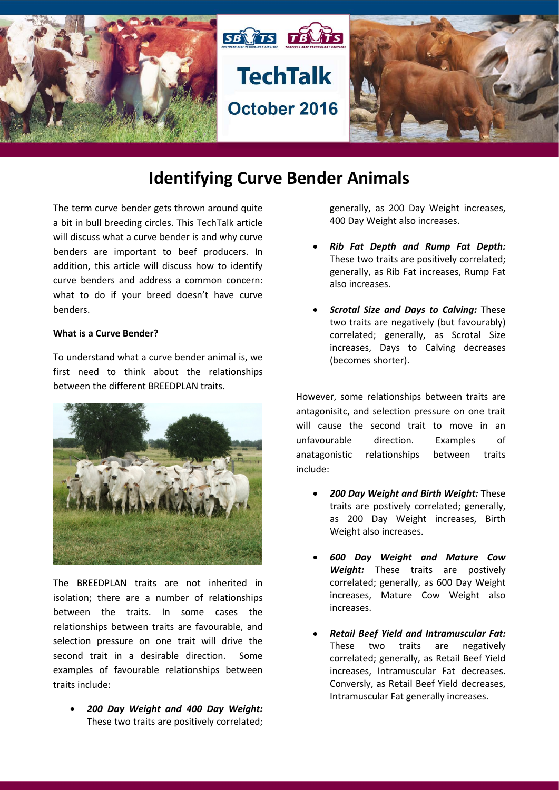

## **Identifying Curve Bender Animals**

The term curve bender gets thrown around quite a bit in bull breeding circles. This TechTalk article will discuss what a curve bender is and why curve benders are important to beef producers. In addition, this article will discuss how to identify curve benders and address a common concern: what to do if your breed doesn't have curve benders.

## **What is a Curve Bender?**

To understand what a curve bender animal is, we first need to think about the relationships between the different BREEDPLAN traits.



The BREEDPLAN traits are not inherited in isolation; there are a number of relationships between the traits. In some cases the relationships between traits are favourable, and selection pressure on one trait will drive the second trait in a desirable direction. Some examples of favourable relationships between traits include:

• *200 Day Weight and 400 Day Weight:*  These two traits are positively correlated;

generally, as 200 Day Weight increases, 400 Day Weight also increases.

- *Rib Fat Depth and Rump Fat Depth:*  These two traits are positively correlated; generally, as Rib Fat increases, Rump Fat also increases.
- *Scrotal Size and Days to Calving:* These two traits are negatively (but favourably) correlated; generally, as Scrotal Size increases, Days to Calving decreases (becomes shorter).

However, some relationships between traits are antagonisitc, and selection pressure on one trait will cause the second trait to move in an unfavourable direction. Examples of anatagonistic relationships between traits include:

- *200 Day Weight and Birth Weight:* These traits are postively correlated; generally, as 200 Day Weight increases, Birth Weight also increases.
- *600 Day Weight and Mature Cow Weight:* These traits are postively correlated; generally, as 600 Day Weight increases, Mature Cow Weight also increases.
- *Retail Beef Yield and Intramuscular Fat:*  These two traits are negatively correlated; generally, as Retail Beef Yield increases, Intramuscular Fat decreases. Conversly, as Retail Beef Yield decreases, Intramuscular Fat generally increases.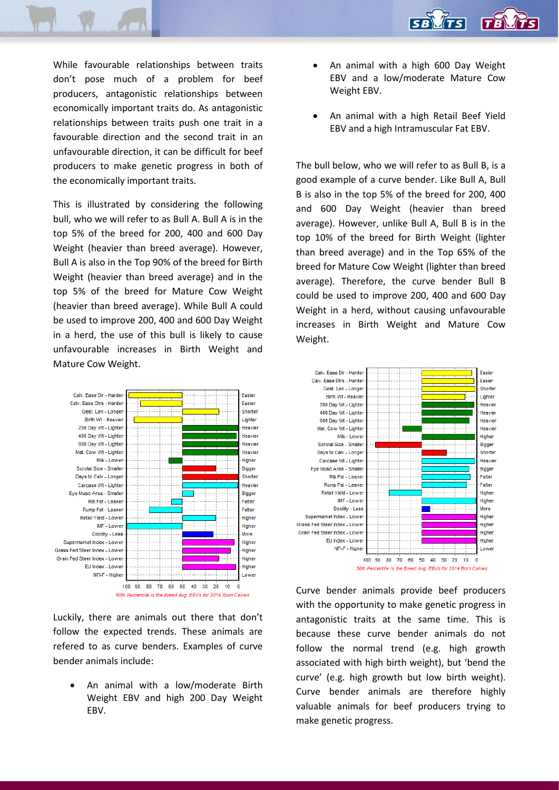

While favourable relationships between traits don't pose much of a problem for beef producers, antagonistic relationships between economically important traits do. As antagonistic relationships between traits push one trait in a favourable direction and the second trait in an unfavourable direction, it can be difficult for beef producers to make genetic progress in both of the economically important traits.

This is illustrated by considering the following bull, who we will refer to as Bull A. Bull A is in the top 5% of the breed for 200, 400 and 600 Day Weight (heavier than breed average). However, Bull A is also in the Top 90% of the breed for Birth Weight (heavier than breed average) and in the top 5% of the breed for Mature Cow Weight (heavier than breed average). While Bull A could be used to improve 200, 400 and 600 Day Weight in a herd, the use of this bull is likely to cause unfavourable increases in Birth Weight and Mature Cow Weight.



Luckily, there are animals out there that don't follow the expected trends. These animals are refered to as curve benders. Examples of curve bender animals include:

An animal with a low/moderate Birth Weight EBV and high 200 Day Weight EBV.

- An animal with a high 600 Day Weight EBV and a low/moderate Mature Cow Weight EBV.
- An animal with a high Retail Beef Yield EBV and a high Intramuscular Fat EBV.

The bull below, who we will refer to as Bull B, is a good example of a curve bender. Like Bull A, Bull B is also in the top 5% of the breed for 200, 400 and 600 Day Weight (heavier than breed average). However, unlike Bull A, Bull B is in the top 10% of the breed for Birth Weight (lighter than breed average) and in the Top 65% of the breed for Mature Cow Weight (lighter than breed average). Therefore, the curve bender Bull B could be used to improve 200, 400 and 600 Day Weight in a herd, without causing unfavourable increases in Birth Weight and Mature Cow Weight.



Curve bender animals provide beef producers with the opportunity to make genetic progress in antagonistic traits at the same time. This is because these curve bender animals do not follow the normal trend (e.g. high growth associated with high birth weight), but 'bend the curve' (e.g. high growth but low birth weight). Curve bender animals are therefore highly valuable animals for beef producers trying to make genetic progress.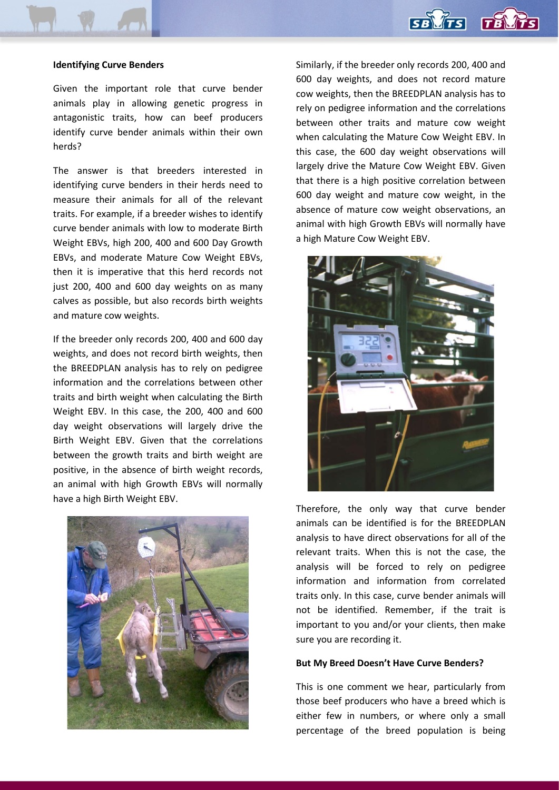

## **Identifying Curve Benders**

Given the important role that curve bender animals play in allowing genetic progress in antagonistic traits, how can beef producers identify curve bender animals within their own herds?

The answer is that breeders interested in identifying curve benders in their herds need to measure their animals for all of the relevant traits. For example, if a breeder wishes to identify curve bender animals with low to moderate Birth Weight EBVs, high 200, 400 and 600 Day Growth EBVs, and moderate Mature Cow Weight EBVs, then it is imperative that this herd records not just 200, 400 and 600 day weights on as many calves as possible, but also records birth weights and mature cow weights.

If the breeder only records 200, 400 and 600 day weights, and does not record birth weights, then the BREEDPLAN analysis has to rely on pedigree information and the correlations between other traits and birth weight when calculating the Birth Weight EBV. In this case, the 200, 400 and 600 day weight observations will largely drive the Birth Weight EBV. Given that the correlations between the growth traits and birth weight are positive, in the absence of birth weight records, an animal with high Growth EBVs will normally have a high Birth Weight EBV.



Similarly, if the breeder only records 200, 400 and 600 day weights, and does not record mature cow weights, then the BREEDPLAN analysis has to rely on pedigree information and the correlations between other traits and mature cow weight when calculating the Mature Cow Weight EBV. In this case, the 600 day weight observations will largely drive the Mature Cow Weight EBV. Given that there is a high positive correlation between 600 day weight and mature cow weight, in the absence of mature cow weight observations, an animal with high Growth EBVs will normally have a high Mature Cow Weight EBV.



Therefore, the only way that curve bender animals can be identified is for the BREEDPLAN analysis to have direct observations for all of the relevant traits. When this is not the case, the analysis will be forced to rely on pedigree information and information from correlated traits only. In this case, curve bender animals will not be identified. Remember, if the trait is important to you and/or your clients, then make sure you are recording it.

## **But My Breed Doesn't Have Curve Benders?**

This is one comment we hear, particularly from those beef producers who have a breed which is either few in numbers, or where only a small percentage of the breed population is being